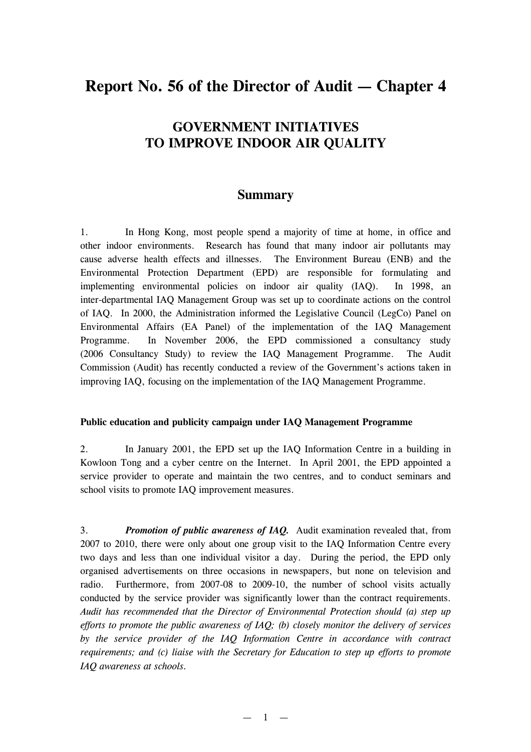# **Report No. 56 of the Director of Audit — Chapter 4**

## **GOVERNMENT INITIATIVES TO IMPROVE INDOOR AIR QUALITY**

### **Summary**

1. In Hong Kong, most people spend a majority of time at home, in office and other indoor environments. Research has found that many indoor air pollutants may cause adverse health effects and illnesses. The Environment Bureau (ENB) and the Environmental Protection Department (EPD) are responsible for formulating and implementing environmental policies on indoor air quality (IAQ). In 1998, an inter-departmental IAQ Management Group was set up to coordinate actions on the control of IAQ. In 2000, the Administration informed the Legislative Council (LegCo) Panel on Environmental Affairs (EA Panel) of the implementation of the IAQ Management Programme. In November 2006, the EPD commissioned a consultancy study (2006 Consultancy Study) to review the IAQ Management Programme. The Audit Commission (Audit) has recently conducted a review of the Government's actions taken in improving IAQ, focusing on the implementation of the IAQ Management Programme.

#### **Public education and publicity campaign under IAQ Management Programme**

2. In January 2001, the EPD set up the IAQ Information Centre in a building in Kowloon Tong and a cyber centre on the Internet. In April 2001, the EPD appointed a service provider to operate and maintain the two centres, and to conduct seminars and school visits to promote IAQ improvement measures.

3. *Promotion of public awareness of IAQ.* Audit examination revealed that, from 2007 to 2010, there were only about one group visit to the IAQ Information Centre every two days and less than one individual visitor a day. During the period, the EPD only organised advertisements on three occasions in newspapers, but none on television and radio. Furthermore, from 2007-08 to 2009-10, the number of school visits actually conducted by the service provider was significantly lower than the contract requirements. *Audit has recommended that the Director of Environmental Protection should (a) step up efforts to promote the public awareness of IAQ; (b) closely monitor the delivery of services by the service provider of the IAQ Information Centre in accordance with contract requirements; and (c) liaise with the Secretary for Education to step up efforts to promote IAQ awareness at schools.*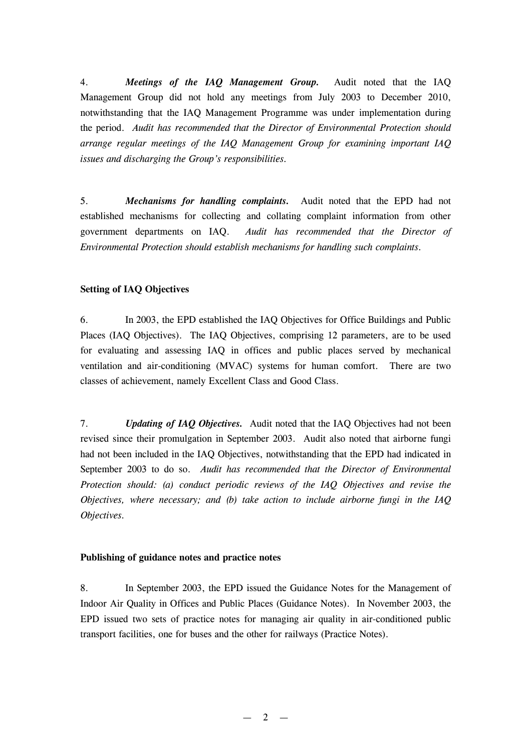4. *Meetings of the IAQ Management Group.* Audit noted that the IAQ Management Group did not hold any meetings from July 2003 to December 2010, notwithstanding that the IAQ Management Programme was under implementation during the period. *Audit has recommended that the Director of Environmental Protection should arrange regular meetings of the IAQ Management Group for examining important IAQ issues and discharging the Group's responsibilities.*

5. *Mechanisms for handling complaints.* Audit noted that the EPD had not established mechanisms for collecting and collating complaint information from other government departments on IAQ. *Audit has recommended that the Director of Environmental Protection should establish mechanisms for handling such complaints.*

#### **Setting of IAQ Objectives**

6. In 2003, the EPD established the IAQ Objectives for Office Buildings and Public Places (IAQ Objectives). The IAQ Objectives, comprising 12 parameters, are to be used for evaluating and assessing IAQ in offices and public places served by mechanical ventilation and air-conditioning (MVAC) systems for human comfort. There are two classes of achievement, namely Excellent Class and Good Class.

7. *Updating of IAQ Objectives.* Audit noted that the IAQ Objectives had not been revised since their promulgation in September 2003. Audit also noted that airborne fungi had not been included in the IAQ Objectives, notwithstanding that the EPD had indicated in September 2003 to do so. *Audit has recommended that the Director of Environmental Protection should: (a) conduct periodic reviews of the IAQ Objectives and revise the Objectives, where necessary; and (b) take action to include airborne fungi in the IAQ Objectives.*

#### **Publishing of guidance notes and practice notes**

8. In September 2003, the EPD issued the Guidance Notes for the Management of Indoor Air Quality in Offices and Public Places (Guidance Notes). In November 2003, the EPD issued two sets of practice notes for managing air quality in air-conditioned public transport facilities, one for buses and the other for railways (Practice Notes).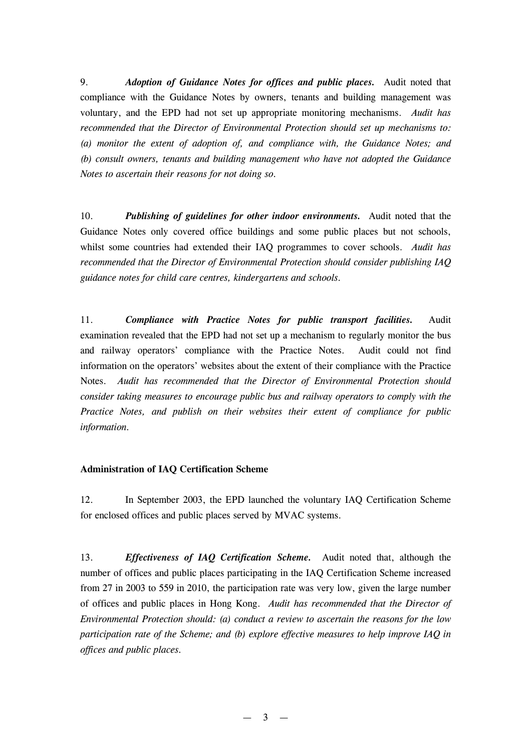9. *Adoption of Guidance Notes for offices and public places.* Audit noted that compliance with the Guidance Notes by owners, tenants and building management was voluntary, and the EPD had not set up appropriate monitoring mechanisms. *Audit has recommended that the Director of Environmental Protection should set up mechanisms to: (a) monitor the extent of adoption of, and compliance with, the Guidance Notes; and (b) consult owners, tenants and building management who have not adopted the Guidance Notes to ascertain their reasons for not doing so.*

10. *Publishing of guidelines for other indoor environments.* Audit noted that the Guidance Notes only covered office buildings and some public places but not schools, whilst some countries had extended their IAQ programmes to cover schools. *Audit has recommended that the Director of Environmental Protection should consider publishing IAQ guidance notes for child care centres, kindergartens and schools.*

11. *Compliance with Practice Notes for public transport facilities.* Audit examination revealed that the EPD had not set up a mechanism to regularly monitor the bus and railway operators' compliance with the Practice Notes. Audit could not find information on the operators' websites about the extent of their compliance with the Practice Notes. *Audit has recommended that the Director of Environmental Protection should consider taking measures to encourage public bus and railway operators to comply with the Practice Notes, and publish on their websites their extent of compliance for public information.*

#### **Administration of IAQ Certification Scheme**

12. In September 2003, the EPD launched the voluntary IAQ Certification Scheme for enclosed offices and public places served by MVAC systems.

13. *Effectiveness of IAQ Certification Scheme.* Audit noted that, although the number of offices and public places participating in the IAQ Certification Scheme increased from 27 in 2003 to 559 in 2010, the participation rate was very low, given the large number of offices and public places in Hong Kong. *Audit has recommended that the Director of Environmental Protection should: (a) conduct a review to ascertain the reasons for the low participation rate of the Scheme; and (b) explore effective measures to help improve IAQ in offices and public places.*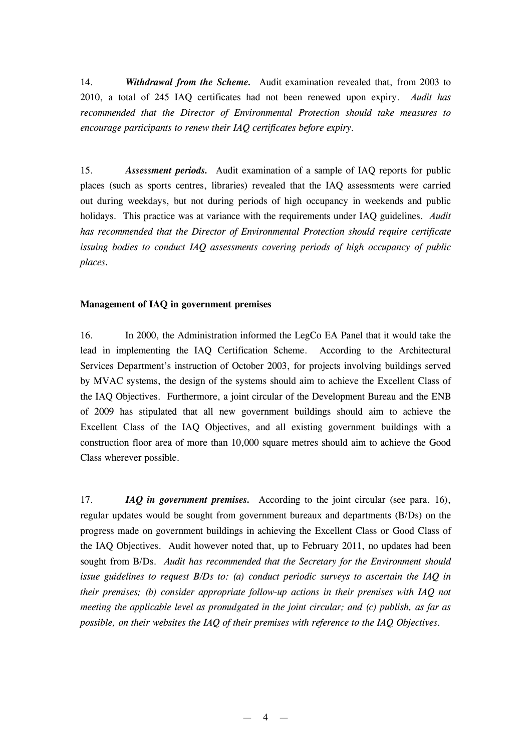14. *Withdrawal from the Scheme.* Audit examination revealed that, from 2003 to 2010, a total of 245 IAQ certificates had not been renewed upon expiry. *Audit has recommended that the Director of Environmental Protection should take measures to encourage participants to renew their IAQ certificates before expiry.*

15. *Assessment periods.* Audit examination of a sample of IAQ reports for public places (such as sports centres, libraries) revealed that the IAQ assessments were carried out during weekdays, but not during periods of high occupancy in weekends and public holidays. This practice was at variance with the requirements under IAQ guidelines. *Audit has recommended that the Director of Environmental Protection should require certificate issuing bodies to conduct IAQ assessments covering periods of high occupancy of public places.*

#### **Management of IAQ in government premises**

16. In 2000, the Administration informed the LegCo EA Panel that it would take the lead in implementing the IAQ Certification Scheme. According to the Architectural Services Department's instruction of October 2003, for projects involving buildings served by MVAC systems, the design of the systems should aim to achieve the Excellent Class of the IAQ Objectives. Furthermore, a joint circular of the Development Bureau and the ENB of 2009 has stipulated that all new government buildings should aim to achieve the Excellent Class of the IAQ Objectives, and all existing government buildings with a construction floor area of more than 10,000 square metres should aim to achieve the Good Class wherever possible.

17. *IAQ in government premises.* According to the joint circular (see para. 16), regular updates would be sought from government bureaux and departments (B/Ds) on the progress made on government buildings in achieving the Excellent Class or Good Class of the IAQ Objectives. Audit however noted that, up to February 2011, no updates had been sought from B/Ds. *Audit has recommended that the Secretary for the Environment should issue guidelines to request B/Ds to: (a) conduct periodic surveys to ascertain the IAQ in their premises; (b) consider appropriate follow-up actions in their premises with IAQ not meeting the applicable level as promulgated in the joint circular; and (c) publish, as far as possible, on their websites the IAQ of their premises with reference to the IAQ Objectives.*